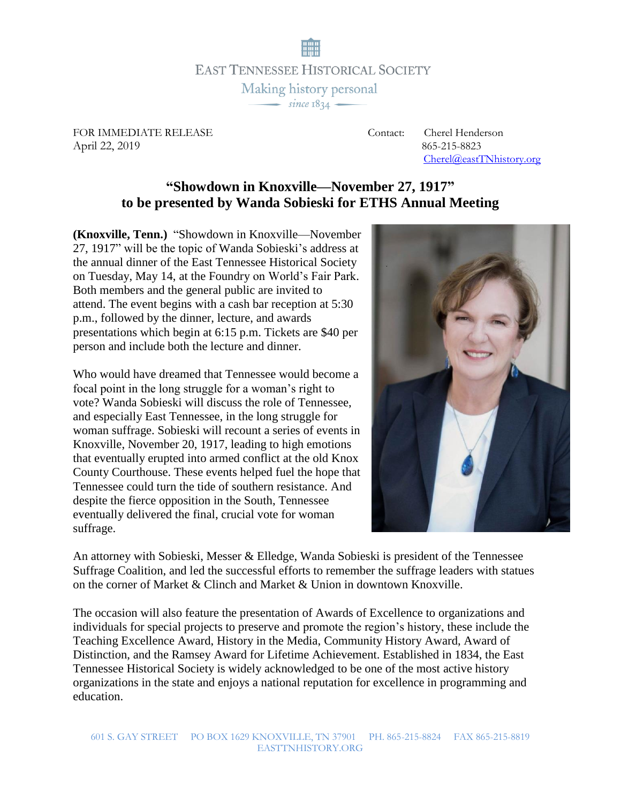**EAST TENNESSEE HISTORICAL SOCIETY** Making history personal  $\frac{1}{\sqrt{1-\frac{1}{2}}\sqrt{1-\frac{1}{2}}\sqrt{1-\frac{1}{2}}}}$ 

FOR IMMEDIATE RELEASE Contact: Cherel Henderson April 22, 2019865-215-8823

[Cherel@eastTNhistory.org](mailto:Cherel@eastTNhistory.org)

## **"Showdown in Knoxville—November 27, 1917" to be presented by Wanda Sobieski for ETHS Annual Meeting**

**(Knoxville, Tenn.)** "Showdown in Knoxville—November 27, 1917" will be the topic of Wanda Sobieski's address at the annual dinner of the East Tennessee Historical Society on Tuesday, May 14, at the Foundry on World's Fair Park. Both members and the general public are invited to attend. The event begins with a cash bar reception at 5:30 p.m., followed by the dinner, lecture, and awards presentations which begin at 6:15 p.m. Tickets are \$40 per person and include both the lecture and dinner.

Who would have dreamed that Tennessee would become a focal point in the long struggle for a woman's right to vote? Wanda Sobieski will discuss the role of Tennessee, and especially East Tennessee, in the long struggle for woman suffrage. Sobieski will recount a series of events in Knoxville, November 20, 1917, leading to high emotions that eventually erupted into armed conflict at the old Knox County Courthouse. These events helped fuel the hope that Tennessee could turn the tide of southern resistance. And despite the fierce opposition in the South, Tennessee eventually delivered the final, crucial vote for woman suffrage.



An attorney with Sobieski, Messer & Elledge, Wanda Sobieski is president of the Tennessee Suffrage Coalition, and led the successful efforts to remember the suffrage leaders with statues on the corner of Market & Clinch and Market & Union in downtown Knoxville.

The occasion will also feature the presentation of Awards of Excellence to organizations and individuals for special projects to preserve and promote the region's history, these include the Teaching Excellence Award, History in the Media, Community History Award, Award of Distinction, and the Ramsey Award for Lifetime Achievement. Established in 1834, the East Tennessee Historical Society is widely acknowledged to be one of the most active history organizations in the state and enjoys a national reputation for excellence in programming and education.